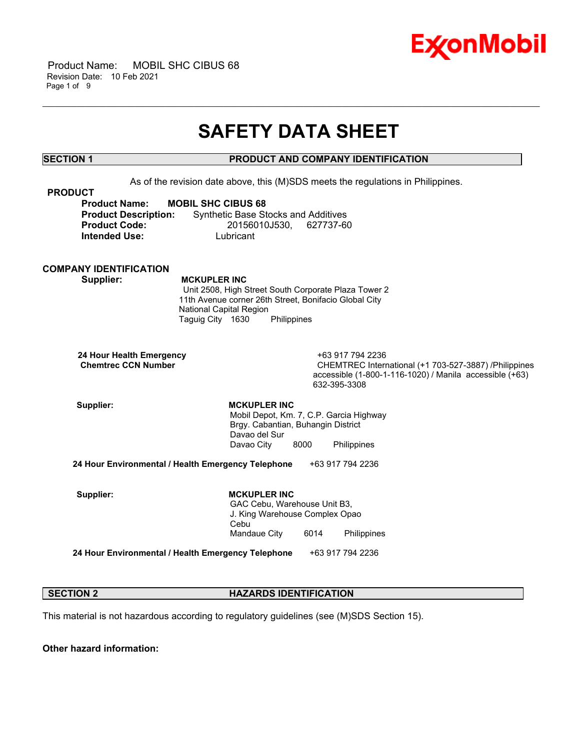

 Product Name: MOBIL SHC CIBUS 68 Revision Date: 10 Feb 2021 Page 1 of 9

## **SAFETY DATA SHEET**

\_\_\_\_\_\_\_\_\_\_\_\_\_\_\_\_\_\_\_\_\_\_\_\_\_\_\_\_\_\_\_\_\_\_\_\_\_\_\_\_\_\_\_\_\_\_\_\_\_\_\_\_\_\_\_\_\_\_\_\_\_\_\_\_\_\_\_\_\_\_\_\_\_\_\_\_\_\_\_\_\_\_\_\_\_\_\_\_\_\_\_\_\_\_\_\_\_\_\_\_\_\_\_\_\_\_\_\_\_\_\_\_\_\_\_\_\_\_

### **SECTION 1 PRODUCT AND COMPANY IDENTIFICATION**

As of the revision date above, this (M)SDS meets the regulations in Philippines.

| <b>PRODUCT</b>              |                                            |
|-----------------------------|--------------------------------------------|
| <b>Product Name:</b>        | <b>MOBIL SHC CIBUS 68</b>                  |
| <b>Product Description:</b> | <b>Synthetic Base Stocks and Additives</b> |
| <b>Product Code:</b>        | 20156010J530. 627737-60                    |
| <b>Intended Use:</b>        | Lubricant                                  |

**COMPANY IDENTIFICATION**

 **Supplier: MCKUPLER INC**

 Unit 2508, High Street South Corporate Plaza Tower 2 11th Avenue corner 26th Street, Bonifacio Global City National Capital Region Taguig City 1630 Philippines

 **24 Hour Health Emergency** +63 917 794 2236

CHEMTREC International (+1 703-527-3887) /Philippines accessible (1-800-1-116-1020) / Manila accessible (+63) 632-395-3308

Supplier: **MCKUPLER INC**  Mobil Depot, Km. 7, C.P. Garcia Highway Brgy. Cabantian, Buhangin District Davao del Sur Davao City 8000 Philippines

**24 Hour Environmental / Health Emergency Telephone** +63 917 794 2236

Supplier: **MCKUPLER INC**  GAC Cebu, Warehouse Unit B3, J. King Warehouse Complex Opao Cebu Mandaue City 6014 Philippines

**24 Hour Environmental / Health Emergency Telephone** +63 917 794 2236

#### **SECTION 2 HAZARDS IDENTIFICATION**

This material is not hazardous according to regulatory guidelines (see (M)SDS Section 15).

**Other hazard information:**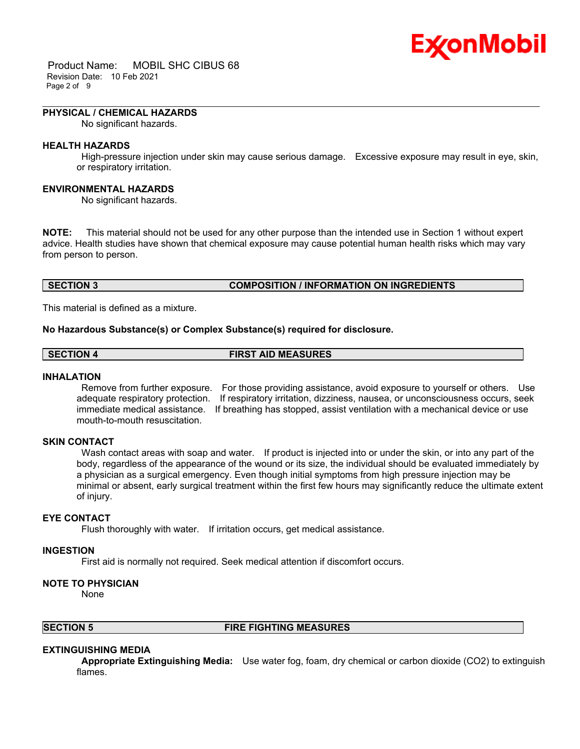# Ex⁄onMobil

 Product Name: MOBIL SHC CIBUS 68 Revision Date: 10 Feb 2021 Page 2 of 9

#### **PHYSICAL / CHEMICAL HAZARDS**

No significant hazards.

#### **HEALTH HAZARDS**

 High-pressure injection under skin may cause serious damage. Excessive exposure may result in eye, skin, or respiratory irritation.

\_\_\_\_\_\_\_\_\_\_\_\_\_\_\_\_\_\_\_\_\_\_\_\_\_\_\_\_\_\_\_\_\_\_\_\_\_\_\_\_\_\_\_\_\_\_\_\_\_\_\_\_\_\_\_\_\_\_\_\_\_\_\_\_\_\_\_\_\_\_\_\_\_\_\_\_\_\_\_\_\_\_\_\_\_\_\_\_\_\_\_\_\_\_\_\_\_\_\_\_\_\_\_\_\_\_\_\_\_\_\_\_\_\_\_\_\_\_

#### **ENVIRONMENTAL HAZARDS**

No significant hazards.

**NOTE:** This material should not be used for any other purpose than the intended use in Section 1 without expert advice. Health studies have shown that chemical exposure may cause potential human health risks which may vary from person to person.

#### **SECTION 3 COMPOSITION / INFORMATION ON INGREDIENTS**

This material is defined as a mixture.

#### **No Hazardous Substance(s) or Complex Substance(s) required for disclosure.**

### **SECTION 4 FIRST AID MEASURES**

#### **INHALATION**

 Remove from further exposure. For those providing assistance, avoid exposure to yourself or others. Use adequate respiratory protection. If respiratory irritation, dizziness, nausea, or unconsciousness occurs, seek immediate medical assistance. If breathing has stopped, assist ventilation with a mechanical device or use mouth-to-mouth resuscitation.

#### **SKIN CONTACT**

Wash contact areas with soap and water. If product is injected into or under the skin, or into any part of the body, regardless of the appearance of the wound or its size, the individual should be evaluated immediately by a physician as a surgical emergency. Even though initial symptoms from high pressure injection may be minimal or absent, early surgical treatment within the first few hours may significantly reduce the ultimate extent of injury.

#### **EYE CONTACT**

Flush thoroughly with water. If irritation occurs, get medical assistance.

### **INGESTION**

First aid is normally not required. Seek medical attention if discomfort occurs.

#### **NOTE TO PHYSICIAN**

None

#### **SECTION 5 FIRE FIGHTING MEASURES**

#### **EXTINGUISHING MEDIA**

 **Appropriate Extinguishing Media:** Use water fog, foam, dry chemical or carbon dioxide (CO2) to extinguish flames.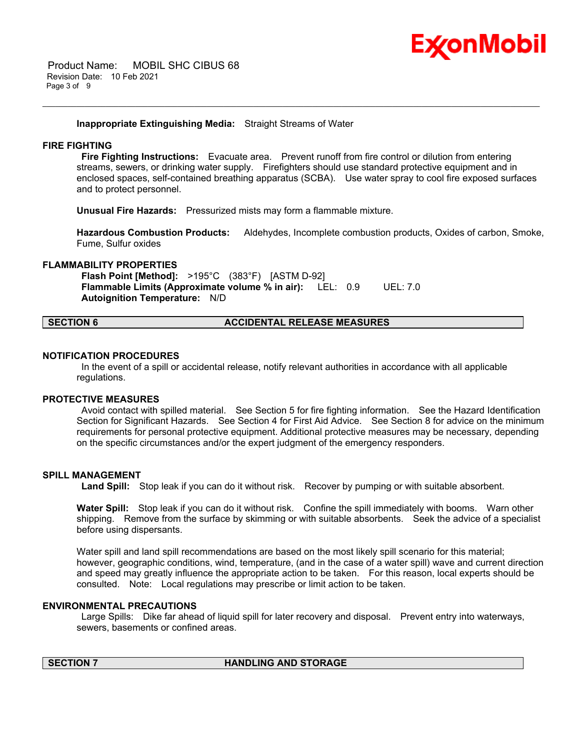

 Product Name: MOBIL SHC CIBUS 68 Revision Date: 10 Feb 2021 Page 3 of 9

**Inappropriate Extinguishing Media:** Straight Streams of Water

#### **FIRE FIGHTING**

 **Fire Fighting Instructions:** Evacuate area. Prevent runoff from fire control or dilution from entering streams, sewers, or drinking water supply. Firefighters should use standard protective equipment and in enclosed spaces, self-contained breathing apparatus (SCBA). Use water spray to cool fire exposed surfaces and to protect personnel.

\_\_\_\_\_\_\_\_\_\_\_\_\_\_\_\_\_\_\_\_\_\_\_\_\_\_\_\_\_\_\_\_\_\_\_\_\_\_\_\_\_\_\_\_\_\_\_\_\_\_\_\_\_\_\_\_\_\_\_\_\_\_\_\_\_\_\_\_\_\_\_\_\_\_\_\_\_\_\_\_\_\_\_\_\_\_\_\_\_\_\_\_\_\_\_\_\_\_\_\_\_\_\_\_\_\_\_\_\_\_\_\_\_\_\_\_\_\_

**Unusual Fire Hazards:** Pressurized mists may form a flammable mixture.

**Hazardous Combustion Products:** Aldehydes, Incomplete combustion products, Oxides of carbon, Smoke, Fume, Sulfur oxides

#### **FLAMMABILITY PROPERTIES**

 **Flash Point [Method]:** >195°C (383°F) [ASTM D-92]  **Flammable Limits (Approximate volume % in air):** LEL: 0.9 UEL: 7.0  **Autoignition Temperature:** N/D

### **SECTION 6 ACCIDENTAL RELEASE MEASURES**

#### **NOTIFICATION PROCEDURES**

 In the event of a spill or accidental release, notify relevant authorities in accordance with all applicable regulations.

#### **PROTECTIVE MEASURES**

 Avoid contact with spilled material. See Section 5 for fire fighting information. See the Hazard Identification Section for Significant Hazards. See Section 4 for First Aid Advice. See Section 8 for advice on the minimum requirements for personal protective equipment. Additional protective measures may be necessary, depending on the specific circumstances and/or the expert judgment of the emergency responders.

#### **SPILL MANAGEMENT**

 **Land Spill:** Stop leak if you can do it without risk. Recover by pumping or with suitable absorbent.

**Water Spill:** Stop leak if you can do it without risk. Confine the spill immediately with booms. Warn other shipping. Remove from the surface by skimming or with suitable absorbents. Seek the advice of a specialist before using dispersants.

Water spill and land spill recommendations are based on the most likely spill scenario for this material; however, geographic conditions, wind, temperature, (and in the case of a water spill) wave and current direction and speed may greatly influence the appropriate action to be taken. For this reason, local experts should be consulted. Note: Local regulations may prescribe or limit action to be taken.

#### **ENVIRONMENTAL PRECAUTIONS**

 Large Spills: Dike far ahead of liquid spill for later recovery and disposal. Prevent entry into waterways, sewers, basements or confined areas.

### **SECTION 7 HANDLING AND STORAGE**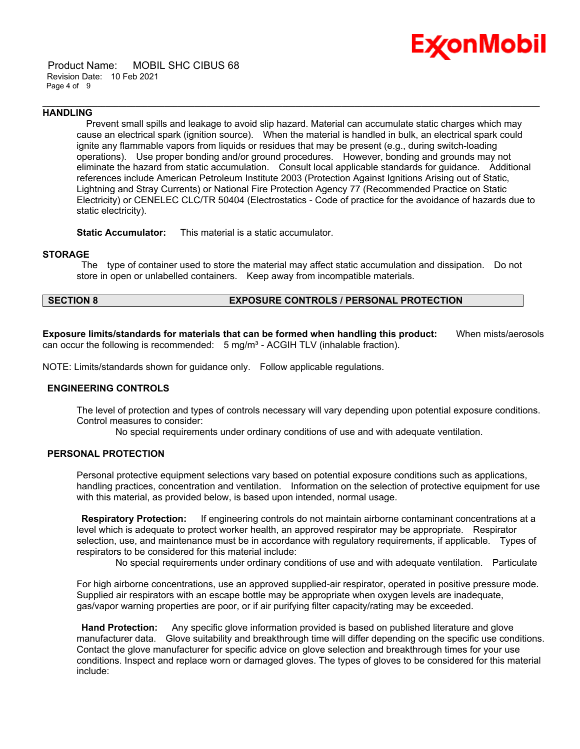

 Product Name: MOBIL SHC CIBUS 68 Revision Date: 10 Feb 2021 Page 4 of 9

#### **HANDLING**

 Prevent small spills and leakage to avoid slip hazard. Material can accumulate static charges which may cause an electrical spark (ignition source). When the material is handled in bulk, an electrical spark could ignite any flammable vapors from liquids or residues that may be present (e.g., during switch-loading operations). Use proper bonding and/or ground procedures. However, bonding and grounds may not eliminate the hazard from static accumulation. Consult local applicable standards for guidance. Additional references include American Petroleum Institute 2003 (Protection Against Ignitions Arising out of Static, Lightning and Stray Currents) or National Fire Protection Agency 77 (Recommended Practice on Static Electricity) or CENELEC CLC/TR 50404 (Electrostatics - Code of practice for the avoidance of hazards due to static electricity).

\_\_\_\_\_\_\_\_\_\_\_\_\_\_\_\_\_\_\_\_\_\_\_\_\_\_\_\_\_\_\_\_\_\_\_\_\_\_\_\_\_\_\_\_\_\_\_\_\_\_\_\_\_\_\_\_\_\_\_\_\_\_\_\_\_\_\_\_\_\_\_\_\_\_\_\_\_\_\_\_\_\_\_\_\_\_\_\_\_\_\_\_\_\_\_\_\_\_\_\_\_\_\_\_\_\_\_\_\_\_\_\_\_\_\_\_\_\_

**Static Accumulator:** This material is a static accumulator.

#### **STORAGE**

 The type of container used to store the material may affect static accumulation and dissipation. Do not store in open or unlabelled containers. Keep away from incompatible materials.

#### **SECTION 8 EXPOSURE CONTROLS / PERSONAL PROTECTION**

**Exposure limits/standards for materials that can be formed when handling this product:** When mists/aerosols can occur the following is recommended:  $5 \text{ mg/m}^3$  - ACGIH TLV (inhalable fraction).

NOTE: Limits/standards shown for guidance only. Follow applicable regulations.

#### **ENGINEERING CONTROLS**

The level of protection and types of controls necessary will vary depending upon potential exposure conditions. Control measures to consider:

No special requirements under ordinary conditions of use and with adequate ventilation.

#### **PERSONAL PROTECTION**

Personal protective equipment selections vary based on potential exposure conditions such as applications, handling practices, concentration and ventilation. Information on the selection of protective equipment for use with this material, as provided below, is based upon intended, normal usage.

 **Respiratory Protection:** If engineering controls do not maintain airborne contaminant concentrations at a level which is adequate to protect worker health, an approved respirator may be appropriate. Respirator selection, use, and maintenance must be in accordance with regulatory requirements, if applicable. Types of respirators to be considered for this material include:

No special requirements under ordinary conditions of use and with adequate ventilation. Particulate

For high airborne concentrations, use an approved supplied-air respirator, operated in positive pressure mode. Supplied air respirators with an escape bottle may be appropriate when oxygen levels are inadequate, gas/vapor warning properties are poor, or if air purifying filter capacity/rating may be exceeded.

 **Hand Protection:** Any specific glove information provided is based on published literature and glove manufacturer data. Glove suitability and breakthrough time will differ depending on the specific use conditions. Contact the glove manufacturer for specific advice on glove selection and breakthrough times for your use conditions. Inspect and replace worn or damaged gloves. The types of gloves to be considered for this material include: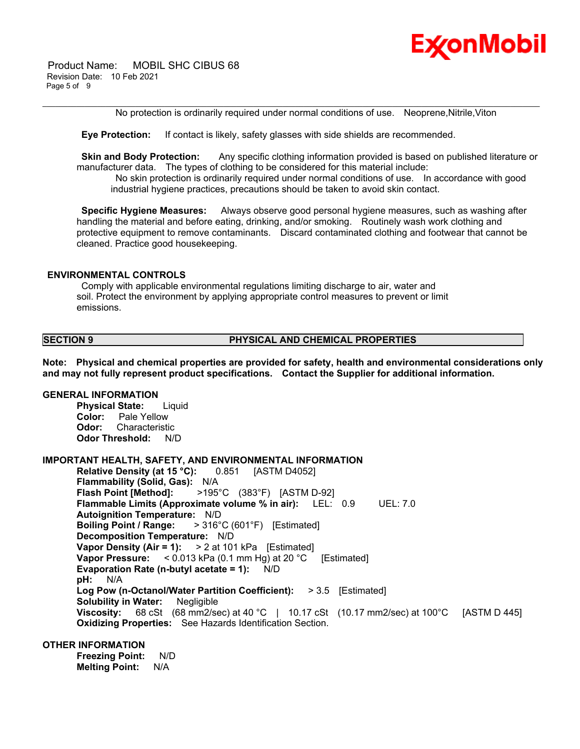

No protection is ordinarily required under normal conditions of use. Neoprene,Nitrile,Viton

\_\_\_\_\_\_\_\_\_\_\_\_\_\_\_\_\_\_\_\_\_\_\_\_\_\_\_\_\_\_\_\_\_\_\_\_\_\_\_\_\_\_\_\_\_\_\_\_\_\_\_\_\_\_\_\_\_\_\_\_\_\_\_\_\_\_\_\_\_\_\_\_\_\_\_\_\_\_\_\_\_\_\_\_\_\_\_\_\_\_\_\_\_\_\_\_\_\_\_\_\_\_\_\_\_\_\_\_\_\_\_\_\_\_\_\_\_\_

 **Eye Protection:** If contact is likely, safety glasses with side shields are recommended.

**Skin and Body Protection:** Any specific clothing information provided is based on published literature or manufacturer data. The types of clothing to be considered for this material include:

 No skin protection is ordinarily required under normal conditions of use. In accordance with good industrial hygiene practices, precautions should be taken to avoid skin contact.

 **Specific Hygiene Measures:** Always observe good personal hygiene measures, such as washing after handling the material and before eating, drinking, and/or smoking. Routinely wash work clothing and protective equipment to remove contaminants. Discard contaminated clothing and footwear that cannot be cleaned. Practice good housekeeping.

#### **ENVIRONMENTAL CONTROLS**

 Comply with applicable environmental regulations limiting discharge to air, water and soil. Protect the environment by applying appropriate control measures to prevent or limit emissions.

### **SECTION 9 PHYSICAL AND CHEMICAL PROPERTIES**

**Note: Physical and chemical properties are provided for safety, health and environmental considerations only and may not fully represent product specifications. Contact the Supplier for additional information.**

#### **GENERAL INFORMATION**

**Physical State:** Liquid **Color:** Pale Yellow **Odor:** Characteristic **Odor Threshold:** N/D

#### **IMPORTANT HEALTH, SAFETY, AND ENVIRONMENTAL INFORMATION**

**Relative Density (at 15 °C):** 0.851 [ASTM D4052] **Flammability (Solid, Gas):** N/A **Flash Point [Method]:** >195°C (383°F) [ASTM D-92] **Flammable Limits (Approximate volume % in air):** LEL: 0.9 UEL: 7.0 **Autoignition Temperature:** N/D **Boiling Point / Range:** > 316°C (601°F) [Estimated] **Decomposition Temperature:** N/D **Vapor Density (Air = 1):** > 2 at 101 kPa [Estimated] **Vapor Pressure:** < 0.013 kPa (0.1 mm Hg) at 20 °C [Estimated] **Evaporation Rate (n-butyl acetate = 1):** N/D **pH:** N/A **Log Pow (n-Octanol/Water Partition Coefficient):** > 3.5 [Estimated] **Solubility in Water:** Negligible **Viscosity:** 68 cSt (68 mm2/sec) at 40 °C | 10.17 cSt (10.17 mm2/sec) at 100 °C [ASTM D 445] **Oxidizing Properties:** See Hazards Identification Section.

### **OTHER INFORMATION**

**Freezing Point:** N/D **Melting Point:** N/A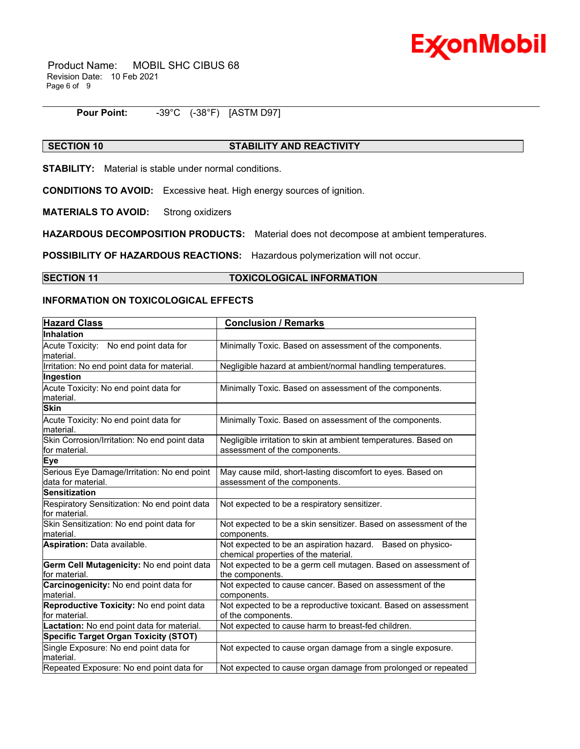

 Product Name: MOBIL SHC CIBUS 68 Revision Date: 10 Feb 2021 Page 6 of 9

#### **Pour Point:** -39°C (-38°F) [ASTM D97]

### **SECTION 10 STABILITY AND REACTIVITY**

\_\_\_\_\_\_\_\_\_\_\_\_\_\_\_\_\_\_\_\_\_\_\_\_\_\_\_\_\_\_\_\_\_\_\_\_\_\_\_\_\_\_\_\_\_\_\_\_\_\_\_\_\_\_\_\_\_\_\_\_\_\_\_\_\_\_\_\_\_\_\_\_\_\_\_\_\_\_\_\_\_\_\_\_\_\_\_\_\_\_\_\_\_\_\_\_\_\_\_\_\_\_\_\_\_\_\_\_\_\_\_\_\_\_\_\_\_\_

**STABILITY:** Material is stable under normal conditions.

**CONDITIONS TO AVOID:** Excessive heat. High energy sources of ignition.

**MATERIALS TO AVOID:** Strong oxidizers

**HAZARDOUS DECOMPOSITION PRODUCTS:** Material does not decompose at ambient temperatures.

**POSSIBILITY OF HAZARDOUS REACTIONS:** Hazardous polymerization will not occur.

#### **SECTION 11 TOXICOLOGICAL INFORMATION**

#### **INFORMATION ON TOXICOLOGICAL EFFECTS**

| <b>Hazard Class</b>                                               | <b>Conclusion / Remarks</b>                                                                        |  |
|-------------------------------------------------------------------|----------------------------------------------------------------------------------------------------|--|
| Inhalation                                                        |                                                                                                    |  |
| Acute Toxicity: No end point data for<br>material.                | Minimally Toxic. Based on assessment of the components.                                            |  |
| Irritation: No end point data for material.                       | Negligible hazard at ambient/normal handling temperatures.                                         |  |
| Ingestion                                                         |                                                                                                    |  |
| Acute Toxicity: No end point data for<br>material.                | Minimally Toxic. Based on assessment of the components.                                            |  |
| <b>Skin</b>                                                       |                                                                                                    |  |
| Acute Toxicity: No end point data for<br>material.                | Minimally Toxic. Based on assessment of the components.                                            |  |
| Skin Corrosion/Irritation: No end point data<br>for material.     | Negligible irritation to skin at ambient temperatures. Based on<br>assessment of the components.   |  |
| <b>Eye</b>                                                        |                                                                                                    |  |
| Serious Eye Damage/Irritation: No end point<br>data for material. | May cause mild, short-lasting discomfort to eyes. Based on<br>assessment of the components.        |  |
| <b>Sensitization</b>                                              |                                                                                                    |  |
| Respiratory Sensitization: No end point data<br>for material.     | Not expected to be a respiratory sensitizer.                                                       |  |
| Skin Sensitization: No end point data for<br>material.            | Not expected to be a skin sensitizer. Based on assessment of the<br>components.                    |  |
| Aspiration: Data available.                                       | Not expected to be an aspiration hazard. Based on physico-<br>chemical properties of the material. |  |
| Germ Cell Mutagenicity: No end point data<br>for material.        | Not expected to be a germ cell mutagen. Based on assessment of<br>the components.                  |  |
| Carcinogenicity: No end point data for<br>material.               | Not expected to cause cancer. Based on assessment of the<br>components.                            |  |
| Reproductive Toxicity: No end point data<br>for material.         | Not expected to be a reproductive toxicant. Based on assessment<br>of the components.              |  |
| Lactation: No end point data for material.                        | Not expected to cause harm to breast-fed children.                                                 |  |
| <b>Specific Target Organ Toxicity (STOT)</b>                      |                                                                                                    |  |
| Single Exposure: No end point data for<br>material.               | Not expected to cause organ damage from a single exposure.                                         |  |
| Repeated Exposure: No end point data for                          | Not expected to cause organ damage from prolonged or repeated                                      |  |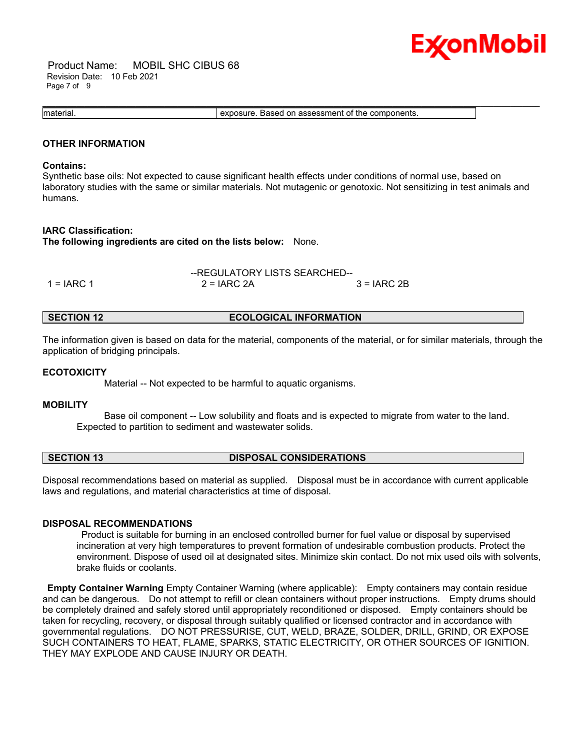

 Product Name: MOBIL SHC CIBUS 68 Revision Date: 10 Feb 2021 Page 7 of 9

\_\_\_\_\_\_\_\_\_\_\_\_\_\_\_\_\_\_\_\_\_\_\_\_\_\_\_\_\_\_\_\_\_\_\_\_\_\_\_\_\_\_\_\_\_\_\_\_\_\_\_\_\_\_\_\_\_\_\_\_\_\_\_\_\_\_\_\_\_\_\_\_\_\_\_\_\_\_\_\_\_\_\_\_\_\_\_\_\_\_\_\_\_\_\_\_\_\_\_\_\_\_\_\_\_\_\_\_\_\_\_\_\_\_\_\_\_\_ material. exposure. Based on assessment of the components.

#### **OTHER INFORMATION**

#### **Contains:**

Synthetic base oils: Not expected to cause significant health effects under conditions of normal use, based on laboratory studies with the same or similar materials. Not mutagenic or genotoxic. Not sensitizing in test animals and humans.

#### **IARC Classification:**

**The following ingredients are cited on the lists below:** None.

|              | --REGULATORY LISTS SEARCHED-- |               |
|--------------|-------------------------------|---------------|
| $1 = IARC 1$ | $2 = IARC 2A$                 | $3 = IARC 2B$ |

#### **SECTION 12 ECOLOGICAL INFORMATION**

The information given is based on data for the material, components of the material, or for similar materials, through the application of bridging principals.

#### **ECOTOXICITY**

Material -- Not expected to be harmful to aquatic organisms.

#### **MOBILITY**

 Base oil component -- Low solubility and floats and is expected to migrate from water to the land. Expected to partition to sediment and wastewater solids.

#### **SECTION 13 DISPOSAL CONSIDERATIONS**

Disposal recommendations based on material as supplied. Disposal must be in accordance with current applicable laws and regulations, and material characteristics at time of disposal.

#### **DISPOSAL RECOMMENDATIONS**

 Product is suitable for burning in an enclosed controlled burner for fuel value or disposal by supervised incineration at very high temperatures to prevent formation of undesirable combustion products. Protect the environment. Dispose of used oil at designated sites. Minimize skin contact. Do not mix used oils with solvents, brake fluids or coolants.

**Empty Container Warning** Empty Container Warning (where applicable): Empty containers may contain residue and can be dangerous. Do not attempt to refill or clean containers without proper instructions. Empty drums should be completely drained and safely stored until appropriately reconditioned or disposed. Empty containers should be taken for recycling, recovery, or disposal through suitably qualified or licensed contractor and in accordance with governmental regulations. DO NOT PRESSURISE, CUT, WELD, BRAZE, SOLDER, DRILL, GRIND, OR EXPOSE SUCH CONTAINERS TO HEAT, FLAME, SPARKS, STATIC ELECTRICITY, OR OTHER SOURCES OF IGNITION. THEY MAY EXPLODE AND CAUSE INJURY OR DEATH.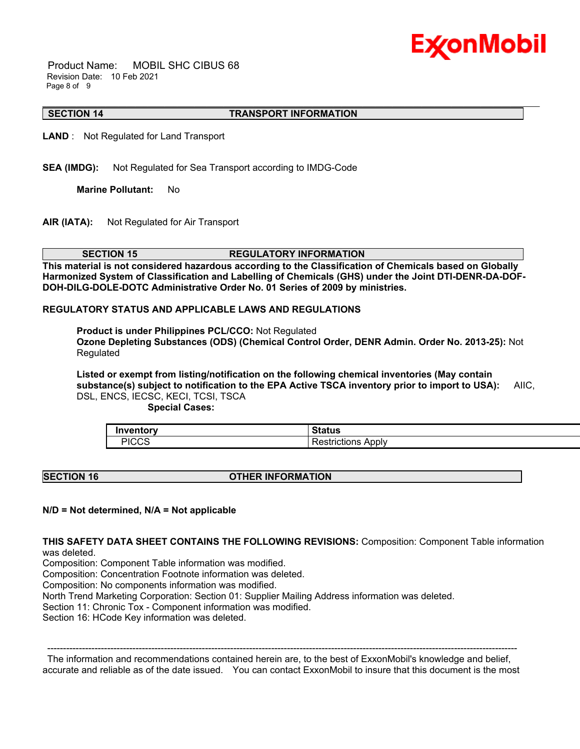

 Product Name: MOBIL SHC CIBUS 68 Revision Date: 10 Feb 2021 Page 8 of 9

#### \_\_\_\_\_\_\_\_\_\_\_\_\_\_\_\_\_\_\_\_\_\_\_\_\_\_\_\_\_\_\_\_\_\_\_\_\_\_\_\_\_\_\_\_\_\_\_\_\_\_\_\_\_\_\_\_\_\_\_\_\_\_\_\_\_\_\_\_\_\_\_\_\_\_\_\_\_\_\_\_\_\_\_\_\_\_\_\_\_\_\_\_\_\_\_\_\_\_\_\_\_\_\_\_\_\_\_\_\_\_\_\_\_\_\_\_\_\_ **SECTION 14 TRANSPORT INFORMATION**

**LAND** : Not Regulated for Land Transport

**SEA (IMDG):** Not Regulated for Sea Transport according to IMDG-Code

**Marine Pollutant:** No

**AIR (IATA):** Not Regulated for Air Transport

**SECTION 15 REGULATORY INFORMATION** 

**This material is not considered hazardous according to the Classification of Chemicals based on Globally Harmonized System of Classification and Labelling of Chemicals (GHS) under the Joint DTI-DENR-DA-DOF-DOH-DILG-DOLE-DOTC Administrative Order No. 01 Series of 2009 by ministries.**

#### **REGULATORY STATUS AND APPLICABLE LAWS AND REGULATIONS**

**Product is under Philippines PCL/CCO:** Not Regulated **Ozone Depleting Substances (ODS) (Chemical Control Order, DENR Admin. Order No. 2013-25):** Not Regulated

**Listed or exempt from listing/notification on the following chemical inventories (May contain substance(s) subject to notification to the EPA Active TSCA inventory prior to import to USA):** AIIC, DSL, ENCS, IECSC, KECI, TCSI, TSCA

 **Special Cases:**

| <b>'nventory</b> | $\sim$ $\sim$ $\sim$ $\sim$<br> |
|------------------|---------------------------------|
| י סממות<br>טרים  | Apply<br>.<br>TICLIONS          |

#### **SECTION 16 OTHER INFORMATION**

#### **N/D = Not determined, N/A = Not applicable**

**THIS SAFETY DATA SHEET CONTAINS THE FOLLOWING REVISIONS:** Composition: Component Table information was deleted.

Composition: Component Table information was modified.

Composition: Concentration Footnote information was deleted.

Composition: No components information was modified.

North Trend Marketing Corporation: Section 01: Supplier Mailing Address information was deleted.

Section 11: Chronic Tox - Component information was modified.

Section 16: HCode Key information was deleted.

 ----------------------------------------------------------------------------------------------------------------------------------------------------- The information and recommendations contained herein are, to the best of ExxonMobil's knowledge and belief, accurate and reliable as of the date issued. You can contact ExxonMobil to insure that this document is the most